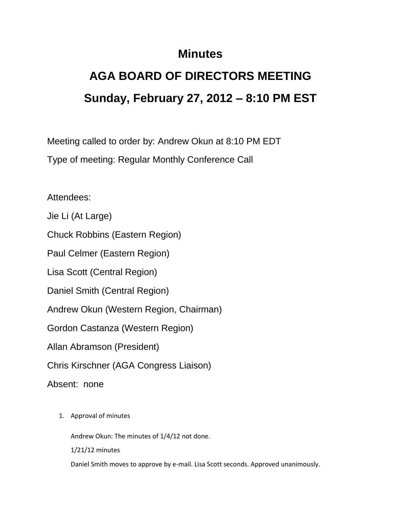## **Minutes**

## **AGA BOARD OF DIRECTORS MEETING Sunday, February 27, 2012 – 8:10 PM EST**

Meeting called to order by: Andrew Okun at 8:10 PM EDT Type of meeting: Regular Monthly Conference Call

Attendees:

Jie Li (At Large)

Chuck Robbins (Eastern Region)

Paul Celmer (Eastern Region)

Lisa Scott (Central Region)

Daniel Smith (Central Region)

Andrew Okun (Western Region, Chairman)

Gordon Castanza (Western Region)

Allan Abramson (President)

Chris Kirschner (AGA Congress Liaison)

Absent: none

1. Approval of minutes

Andrew Okun: The minutes of 1/4/12 not done.

1/21/12 minutes

Daniel Smith moves to approve by e-mail. Lisa Scott seconds. Approved unanimously.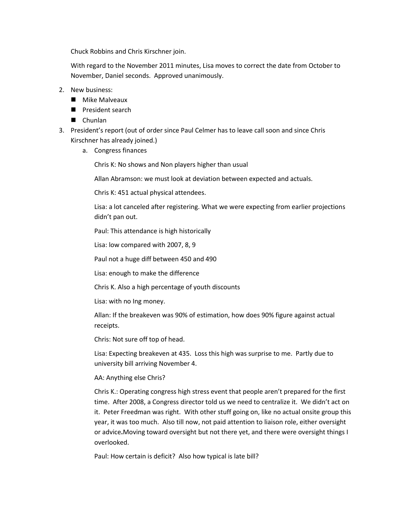Chuck Robbins and Chris Kirschner join.

With regard to the November 2011 minutes, Lisa moves to correct the date from October to November, Daniel seconds. Approved unanimously.

- 2. New business:
	- **Mike Malveaux**
	- **President search**
	- Chunlan
- 3. President's report (out of order since Paul Celmer has to leave call soon and since Chris Kirschner has already joined.)
	- a. Congress finances

Chris K: No shows and Non players higher than usual

Allan Abramson: we must look at deviation between expected and actuals.

Chris K: 451 actual physical attendees.

Lisa: a lot canceled after registering. What we were expecting from earlier projections didn't pan out.

Paul: This attendance is high historically

Lisa: low compared with 2007, 8, 9

Paul not a huge diff between 450 and 490

Lisa: enough to make the difference

Chris K. Also a high percentage of youth discounts

Lisa: with no Ing money.

Allan: If the breakeven was 90% of estimation, how does 90% figure against actual receipts.

Chris: Not sure off top of head.

Lisa: Expecting breakeven at 435. Loss this high was surprise to me. Partly due to university bill arriving November 4.

## AA: Anything else Chris?

Chris K.: Operating congress high stress event that people aren't prepared for the first time. After 2008, a Congress director told us we need to centralize it. We didn't act on it. Peter Freedman was right. With other stuff going on, like no actual onsite group this year, it was too much. Also till now, not paid attention to liaison role, either oversight or advice**.**Moving toward oversight but not there yet, and there were oversight things I overlooked.

Paul: How certain is deficit? Also how typical is late bill?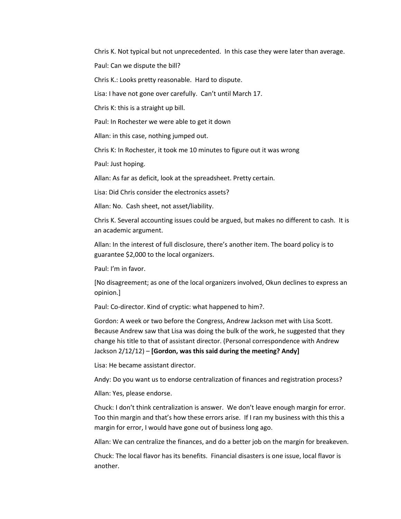Chris K. Not typical but not unprecedented. In this case they were later than average.

Paul: Can we dispute the bill?

Chris K.: Looks pretty reasonable. Hard to dispute.

Lisa: I have not gone over carefully. Can't until March 17.

Chris K: this is a straight up bill.

Paul: In Rochester we were able to get it down

Allan: in this case, nothing jumped out.

Chris K: In Rochester, it took me 10 minutes to figure out it was wrong

Paul: Just hoping.

Allan: As far as deficit, look at the spreadsheet. Pretty certain.

Lisa: Did Chris consider the electronics assets?

Allan: No. Cash sheet, not asset/liability.

Chris K. Several accounting issues could be argued, but makes no different to cash. It is an academic argument.

Allan: In the interest of full disclosure, there's another item. The board policy is to guarantee \$2,000 to the local organizers.

Paul: I'm in favor.

[No disagreement; as one of the local organizers involved, Okun declines to express an opinion.]

Paul: Co-director. Kind of cryptic: what happened to him?.

Gordon: A week or two before the Congress, Andrew Jackson met with Lisa Scott. Because Andrew saw that Lisa was doing the bulk of the work, he suggested that they change his title to that of assistant director. (Personal correspondence with Andrew Jackson 2/12/12) – **[Gordon, was this said during the meeting? Andy]**

Lisa: He became assistant director.

Andy: Do you want us to endorse centralization of finances and registration process?

Allan: Yes, please endorse.

Chuck: I don't think centralization is answer. We don't leave enough margin for error. Too thin margin and that's how these errors arise. If I ran my business with this this a margin for error, I would have gone out of business long ago.

Allan: We can centralize the finances, and do a better job on the margin for breakeven.

Chuck: The local flavor has its benefits. Financial disasters is one issue, local flavor is another.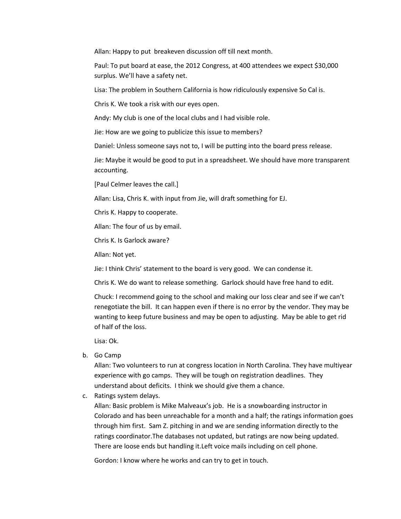Allan: Happy to put breakeven discussion off till next month.

Paul: To put board at ease, the 2012 Congress, at 400 attendees we expect \$30,000 surplus. We'll have a safety net.

Lisa: The problem in Southern California is how ridiculously expensive So Cal is.

Chris K. We took a risk with our eyes open.

Andy: My club is one of the local clubs and I had visible role.

Jie: How are we going to publicize this issue to members?

Daniel: Unless someone says not to, I will be putting into the board press release.

Jie: Maybe it would be good to put in a spreadsheet. We should have more transparent accounting.

[Paul Celmer leaves the call.]

Allan: Lisa, Chris K. with input from Jie, will draft something for EJ.

Chris K. Happy to cooperate.

Allan: The four of us by email.

Chris K. Is Garlock aware?

Allan: Not yet.

Jie: I think Chris' statement to the board is very good. We can condense it.

Chris K. We do want to release something. Garlock should have free hand to edit.

Chuck: I recommend going to the school and making our loss clear and see if we can't renegotiate the bill. It can happen even if there is no error by the vendor. They may be wanting to keep future business and may be open to adjusting. May be able to get rid of half of the loss.

Lisa: Ok.

b. Go Camp

Allan: Two volunteers to run at congress location in North Carolina. They have multiyear experience with go camps. They will be tough on registration deadlines. They understand about deficits. I think we should give them a chance.

c. Ratings system delays.

Allan: Basic problem is Mike Malveaux's job. He is a snowboarding instructor in Colorado and has been unreachable for a month and a half; the ratings information goes through him first. Sam Z. pitching in and we are sending information directly to the ratings coordinator.The databases not updated, but ratings are now being updated. There are loose ends but handling it.Left voice mails including on cell phone.

Gordon: I know where he works and can try to get in touch.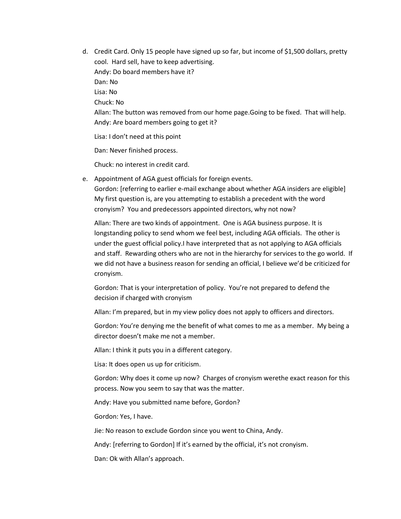d. Credit Card. Only 15 people have signed up so far, but income of \$1,500 dollars, pretty cool. Hard sell, have to keep advertising. Andy: Do board members have it? Dan: No Lisa: No Chuck: No Allan: The button was removed from our home page.Going to be fixed. That will help. Andy: Are board members going to get it? Lisa: I don't need at this point

Dan: Never finished process.

Chuck: no interest in credit card.

e. Appointment of AGA guest officials for foreign events.

Gordon: [referring to earlier e-mail exchange about whether AGA insiders are eligible] My first question is, are you attempting to establish a precedent with the word cronyism? You and predecessors appointed directors, why not now?

Allan: There are two kinds of appointment. One is AGA business purpose. It is longstanding policy to send whom we feel best, including AGA officials. The other is under the guest official policy.I have interpreted that as not applying to AGA officials and staff. Rewarding others who are not in the hierarchy for services to the go world. If we did not have a business reason for sending an official, I believe we'd be criticized for cronyism.

Gordon: That is your interpretation of policy. You're not prepared to defend the decision if charged with cronyism

Allan: I'm prepared, but in my view policy does not apply to officers and directors.

Gordon: You're denying me the benefit of what comes to me as a member. My being a director doesn't make me not a member.

Allan: I think it puts you in a different category.

Lisa: It does open us up for criticism.

Gordon: Why does it come up now? Charges of cronyism werethe exact reason for this process. Now you seem to say that was the matter.

Andy: Have you submitted name before, Gordon?

Gordon: Yes, I have.

Jie: No reason to exclude Gordon since you went to China, Andy.

Andy: [referring to Gordon] If it's earned by the official, it's not cronyism.

Dan: Ok with Allan's approach.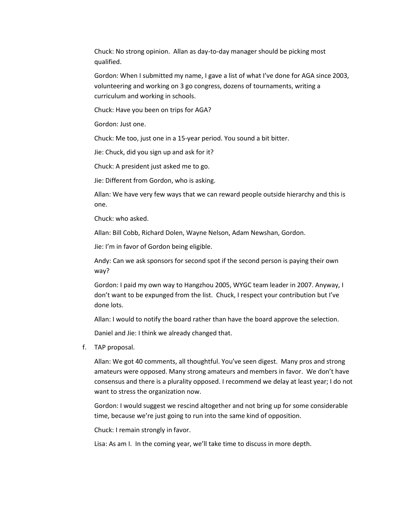Chuck: No strong opinion. Allan as day-to-day manager should be picking most qualified.

Gordon: When I submitted my name, I gave a list of what I've done for AGA since 2003, volunteering and working on 3 go congress, dozens of tournaments, writing a curriculum and working in schools.

Chuck: Have you been on trips for AGA?

Gordon: Just one.

Chuck: Me too, just one in a 15-year period. You sound a bit bitter.

Jie: Chuck, did you sign up and ask for it?

Chuck: A president just asked me to go.

Jie: Different from Gordon, who is asking.

Allan: We have very few ways that we can reward people outside hierarchy and this is one.

Chuck: who asked.

Allan: Bill Cobb, Richard Dolen, Wayne Nelson, Adam Newshan, Gordon.

Jie: I'm in favor of Gordon being eligible.

Andy: Can we ask sponsors for second spot if the second person is paying their own way?

Gordon: I paid my own way to Hangzhou 2005, WYGC team leader in 2007. Anyway, I don't want to be expunged from the list. Chuck, I respect your contribution but I've done lots.

Allan: I would to notify the board rather than have the board approve the selection.

Daniel and Jie: I think we already changed that.

f. TAP proposal.

Allan: We got 40 comments, all thoughtful. You've seen digest. Many pros and strong amateurs were opposed. Many strong amateurs and members in favor. We don't have consensus and there is a plurality opposed. I recommend we delay at least year; I do not want to stress the organization now.

Gordon: I would suggest we rescind altogether and not bring up for some considerable time, because we're just going to run into the same kind of opposition.

Chuck: I remain strongly in favor.

Lisa: As am I. In the coming year, we'll take time to discuss in more depth.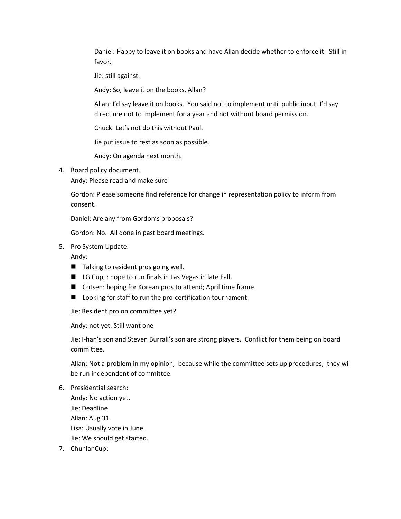Daniel: Happy to leave it on books and have Allan decide whether to enforce it. Still in favor.

Jie: still against.

Andy: So, leave it on the books, Allan?

Allan: I'd say leave it on books. You said not to implement until public input. I'd say direct me not to implement for a year and not without board permission.

Chuck: Let's not do this without Paul.

Jie put issue to rest as soon as possible.

Andy: On agenda next month.

4. Board policy document.

Andy: Please read and make sure

Gordon: Please someone find reference for change in representation policy to inform from consent.

Daniel: Are any from Gordon's proposals?

Gordon: No. All done in past board meetings.

5. Pro System Update:

Andy:

- Talking to resident pros going well.
- LG Cup, : hope to run finals in Las Vegas in late Fall.
- Cotsen: hoping for Korean pros to attend; April time frame.
- Looking for staff to run the pro-certification tournament.

Jie: Resident pro on committee yet?

Andy: not yet. Still want one

Jie: I-han's son and Steven Burrall's son are strong players. Conflict for them being on board committee.

Allan: Not a problem in my opinion, because while the committee sets up procedures, they will be run independent of committee.

6. Presidential search: Andy: No action yet. Jie: Deadline Allan: Aug 31. Lisa: Usually vote in June. Jie: We should get started.

7. ChunlanCup: